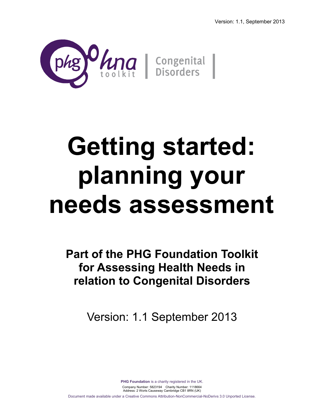

# **Getting started: planning your needs assessment**

**Part of the PHG Foundation Toolkit for Assessing Health Needs in relation to Congenital Disorders**

Version: 1.1 September 2013

**PHG Foundation** is a charity registered in the UK. Company Number: 5823194 Charity Number: 1118664 Address: 2 Worts Causeway Cambridge CB1 8RN (UK) Document made available under a Creative Commons Attribution-NonCommercial-NoDerivs 3.0 Unported License.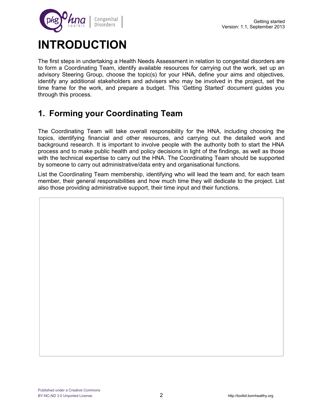

## **INTRODUCTION**

The first steps in undertaking a Health Needs Assessment in relation to congenital disorders are to form a Coordinating Team, identify available resources for carrying out the work, set up an advisory Steering Group, choose the topic(s) for your HNA, define your aims and objectives, identify any additional stakeholders and advisers who may be involved in the project, set the time frame for the work, and prepare a budget. This 'Getting Started' document guides you through this process.

## **1. Forming your Coordinating Team**

The Coordinating Team will take overall responsibility for the HNA, including choosing the topics, identifying financial and other resources, and carrying out the detailed work and background research. It is important to involve people with the authority both to start the HNA process and to make public health and policy decisions in light of the findings, as well as those with the technical expertise to carry out the HNA. The Coordinating Team should be supported by someone to carry out administrative/data entry and organisational functions.

List the Coordinating Team membership, identifying who will lead the team and, for each team member, their general responsibilities and how much time they will dedicate to the project. List also those providing administrative support, their time input and their functions.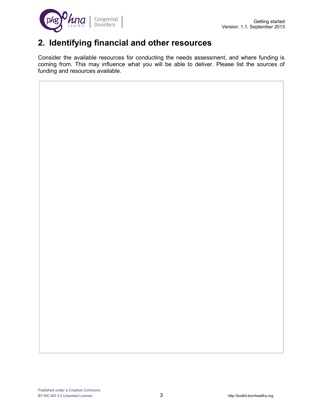

## **2. Identifying financial and other resources**

Consider the available resources for conducting the needs assessment, and where funding is coming from. This may influence what you will be able to deliver. Please list the sources of funding and resources available.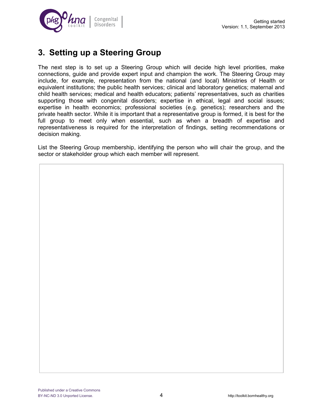

## **3. Setting up a Steering Group**

The next step is to set up a Steering Group which will decide high level priorities, make connections, guide and provide expert input and champion the work. The Steering Group may include, for example, representation from the national (and local) Ministries of Health or equivalent institutions; the public health services; clinical and laboratory genetics; maternal and child health services; medical and health educators; patients' representatives, such as charities supporting those with congenital disorders; expertise in ethical, legal and social issues; expertise in health economics; professional societies (e.g. genetics); researchers and the private health sector. While it is important that a representative group is formed, it is best for the full group to meet only when essential, such as when a breadth of expertise and representativeness is required for the interpretation of findings, setting recommendations or decision making.

List the Steering Group membership, identifying the person who will chair the group, and the sector or stakeholder group which each member will represent.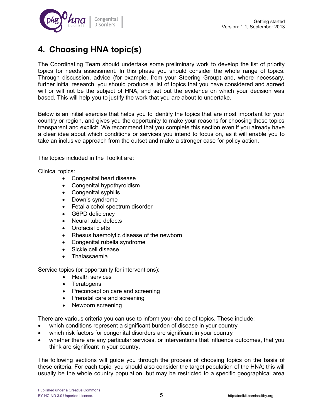

## **4. Choosing HNA topic(s)**

The Coordinating Team should undertake some preliminary work to develop the list of priority topics for needs assessment. In this phase you should consider the whole range of topics. Through discussion, advice (for example, from your Steering Group) and, where necessary, further initial research, you should produce a list of topics that you have considered and agreed will or will not be the subject of HNA, and set out the evidence on which your decision was based. This will help you to justify the work that you are about to undertake.

Below is an initial exercise that helps you to identify the topics that are most important for your country or region, and gives you the opportunity to make your reasons for choosing these topics transparent and explicit. We recommend that you complete this section even if you already have a clear idea about which conditions or services you intend to focus on, as it will enable you to take an inclusive approach from the outset and make a stronger case for policy action.

The topics included in the Toolkit are:

Clinical topics:

- Congenital heart disease
- Congenital hypothyroidism
- Congenital syphilis
- Down's syndrome
- Fetal alcohol spectrum disorder
- G6PD deficiency
- Neural tube defects
- Orofacial clefts
- Rhesus haemolytic disease of the newborn
- Congenital rubella syndrome
- Sickle cell disease
- Thalassaemia

Service topics (or opportunity for interventions):

- Health services
- **Teratogens**
- Preconception care and screening
- Prenatal care and screening
- Newborn screening

There are various criteria you can use to inform your choice of topics. These include:

- which conditions represent a significant burden of disease in your country
- which risk factors for congenital disorders are significant in your country
- whether there are any particular services, or interventions that influence outcomes, that you think are significant in your country.

The following sections will guide you through the process of choosing topics on the basis of these criteria. For each topic, you should also consider the target population of the HNA; this will usually be the whole country population, but may be restricted to a specific geographical area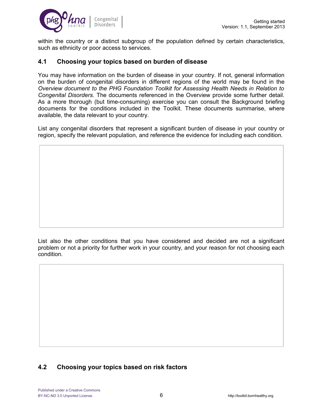

within the country or a distinct subgroup of the population defined by certain characteristics, such as ethnicity or poor access to services.

#### **4.1 Choosing your topics based on burden of disease**

You may have information on the burden of disease in your country. If not, general information on the burden of congenital disorders in different regions of the world may be found in the *Overview document to the PHG Foundation Toolkit for Assessing Health Needs in Relation to Congenital Disorders.* The documents referenced in the Overview provide some further detail. As a more thorough (but time-consuming) exercise you can consult the Background briefing documents for the conditions included in the Toolkit. These documents summarise, where available, the data relevant to your country.

List any congenital disorders that represent a significant burden of disease in your country or region, specify the relevant population, and reference the evidence for including each condition.

List also the other conditions that you have considered and decided are not a significant problem or not a priority for further work in your country, and your reason for not choosing each condition.

#### **4.2 Choosing your topics based on risk factors**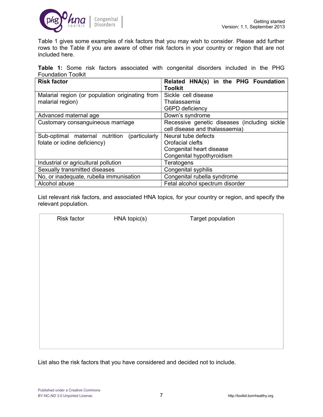

Table 1 gives some examples of risk factors that you may wish to consider. Please add further rows to the Table if you are aware of other risk factors in your country or region that are not included here.

|                           |  |  | <b>Table 1:</b> Some risk factors associated with congenital disorders included in the PHG |  |  |  |  |
|---------------------------|--|--|--------------------------------------------------------------------------------------------|--|--|--|--|
| <b>Foundation Toolkit</b> |  |  |                                                                                            |  |  |  |  |

| <b>Risk factor</b>                               | Related HNA(s) in the PHG Foundation         |  |  |  |  |
|--------------------------------------------------|----------------------------------------------|--|--|--|--|
|                                                  | <b>Toolkit</b>                               |  |  |  |  |
| Malarial region (or population originating from  | Sickle cell disease                          |  |  |  |  |
| malarial region)                                 | Thalassaemia                                 |  |  |  |  |
|                                                  | G6PD deficiency                              |  |  |  |  |
| Advanced maternal age                            | Down's syndrome                              |  |  |  |  |
| Customary consanguineous marriage                | Recessive genetic diseases (including sickle |  |  |  |  |
|                                                  | cell disease and thalassaemia)               |  |  |  |  |
| Sub-optimal maternal nutrition<br>(particularly) | Neural tube defects                          |  |  |  |  |
| folate or iodine deficiency)                     | Orofacial clefts                             |  |  |  |  |
|                                                  | Congenital heart disease                     |  |  |  |  |
|                                                  | Congenital hypothyroidism                    |  |  |  |  |
| Industrial or agricultural pollution             | Teratogens                                   |  |  |  |  |
| Sexually transmitted diseases                    | Congenital syphilis                          |  |  |  |  |
| No, or inadequate, rubella immunisation          | Congenital rubella syndrome                  |  |  |  |  |
| Alcohol abuse                                    | Fetal alcohol spectrum disorder              |  |  |  |  |

List relevant risk factors, and associated HNA topics, for your country or region, and specify the relevant population.

| Risk factor |              |                   |  |
|-------------|--------------|-------------------|--|
|             | HNA topic(s) | Target population |  |
|             |              |                   |  |
|             |              |                   |  |
|             |              |                   |  |
|             |              |                   |  |
|             |              |                   |  |
|             |              |                   |  |
|             |              |                   |  |
|             |              |                   |  |
|             |              |                   |  |
|             |              |                   |  |
|             |              |                   |  |
|             |              |                   |  |
|             |              |                   |  |
|             |              |                   |  |
|             |              |                   |  |
|             |              |                   |  |
|             |              |                   |  |
|             |              |                   |  |
|             |              |                   |  |
|             |              |                   |  |
|             |              |                   |  |
|             |              |                   |  |
|             |              |                   |  |
|             |              |                   |  |
|             |              |                   |  |
|             |              |                   |  |
|             |              |                   |  |
|             |              |                   |  |
|             |              |                   |  |
|             |              |                   |  |

List also the risk factors that you have considered and decided not to include.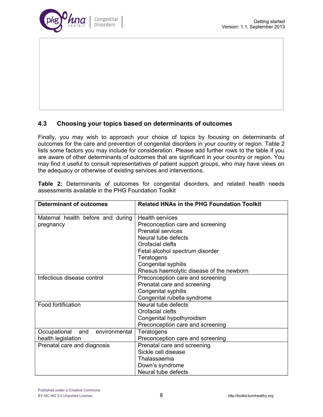

#### **4.3 Choosing your topics based on determinants of outcomes**

Finally, you may wish to approach your choice of topics by focusing on determinants of outcomes for the care and prevention of congenital disorders in your country or region. Table 2 lists some factors you may include for consideration. Please add further rows to the table if you are aware of other determinants of outcomes that are significant in your country or region. You may find it useful to consult representatives of patient support groups, who may have views on the adequacy or otherwise of existing services and interventions.

**Table 2:** Determinants of outcomes for congenital disorders, and related health needs assessments available in the PHG Foundation Toolkit

| <b>Determinant of outcomes</b>       | <b>Related HNAs in the PHG Foundation Toolkit</b> |
|--------------------------------------|---------------------------------------------------|
| Maternal health before and during    | <b>Health services</b>                            |
| pregnancy                            | Preconception care and screening                  |
|                                      | <b>Prenatal services</b>                          |
|                                      | Neural tube defects                               |
|                                      | Orofacial clefts                                  |
|                                      | Fetal alcohol spectrum disorder                   |
|                                      | Teratogens                                        |
|                                      | Congenital syphilis                               |
|                                      | Rhesus haemolytic disease of the newborn          |
| Infectious disease control           | Preconception care and screening                  |
|                                      | Prenatal care and screening                       |
|                                      | Congenital syphilis                               |
|                                      | Congenital rubella syndrome                       |
| Food fortification                   | Neural tube defects                               |
|                                      | Orofacial clefts                                  |
|                                      | Congenital hypothyroidism                         |
|                                      | Preconception care and screening                  |
| environmental<br>Occupational<br>and | Teratogens                                        |
| health legislation                   | Preconception care and screening                  |
| Prenatal care and diagnosis          | Prenatal care and screening                       |
|                                      | Sickle cell disease                               |
|                                      | Thalassaemia                                      |
|                                      | Down's syndrome                                   |
|                                      | Neural tube defects                               |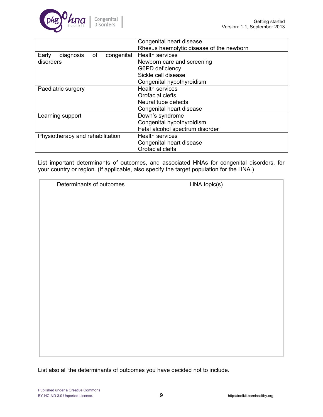

|                                        | Congenital heart disease                 |  |  |
|----------------------------------------|------------------------------------------|--|--|
|                                        | Rhesus haemolytic disease of the newborn |  |  |
| diagnosis<br>of<br>Early<br>congenital | <b>Health services</b>                   |  |  |
| disorders                              | Newborn care and screening               |  |  |
|                                        | G6PD deficiency                          |  |  |
|                                        | Sickle cell disease                      |  |  |
|                                        | Congenital hypothyroidism                |  |  |
| Paediatric surgery                     | <b>Health services</b>                   |  |  |
|                                        | Orofacial clefts                         |  |  |
|                                        | Neural tube defects                      |  |  |
|                                        | Congenital heart disease                 |  |  |
| Learning support                       | Down's syndrome                          |  |  |
|                                        | Congenital hypothyroidism                |  |  |
|                                        | Fetal alcohol spectrum disorder          |  |  |
| Physiotherapy and rehabilitation       | <b>Health services</b>                   |  |  |
|                                        | Congenital heart disease                 |  |  |
|                                        | Orofacial clefts                         |  |  |

List important determinants of outcomes, and associated HNAs for congenital disorders, for your country or region. (If applicable, also specify the target population for the HNA.)

Determinants of outcomes HNA topic(s)

List also all the determinants of outcomes you have decided not to include.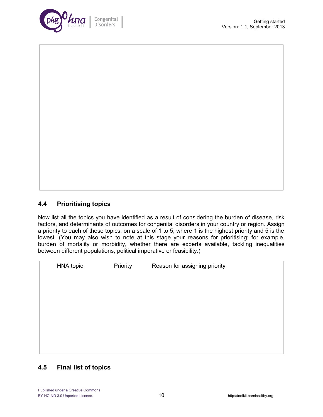

#### **4.4 Prioritising topics**

Now list all the topics you have identified as a result of considering the burden of disease, risk factors, and determinants of outcomes for congenital disorders in your country or region. Assign a priority to each of these topics, on a scale of 1 to 5, where 1 is the highest priority and 5 is the lowest. (You may also wish to note at this stage your reasons for prioritising; for example, burden of mortality or morbidity, whether there are experts available, tackling inequalities between different populations, political imperative or feasibility.)

HNA topic **Priority** Reason for assigning priority

#### **4.5 Final list of topics**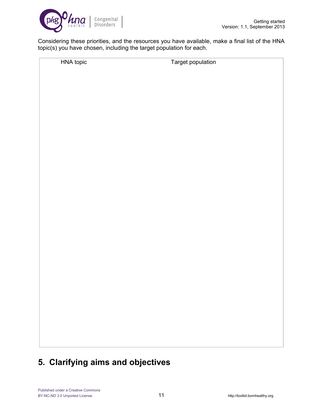

Considering these priorities, and the resources you have available, make a final list of the HNA topic(s) you have chosen, including the target population for each.

HNA topic Target population

## **5. Clarifying aims and objectives**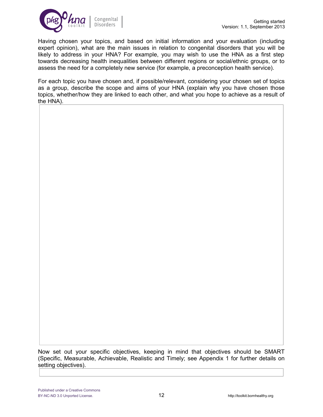

Having chosen your topics, and based on initial information and your evaluation (including expert opinion), what are the main issues in relation to congenital disorders that you will be likely to address in your HNA? For example, you may wish to use the HNA as a first step towards decreasing health inequalities between different regions or social/ethnic groups, or to assess the need for a completely new service (for example, a preconception health service).

For each topic you have chosen and, if possible/relevant, considering your chosen set of topics as a group, describe the scope and aims of your HNA (explain why you have chosen those topics, whether/how they are linked to each other, and what you hope to achieve as a result of the HNA).

Now set out your specific objectives, keeping in mind that objectives should be SMART (Specific, Measurable, Achievable, Realistic and Timely; see Appendix 1 for further details on setting objectives).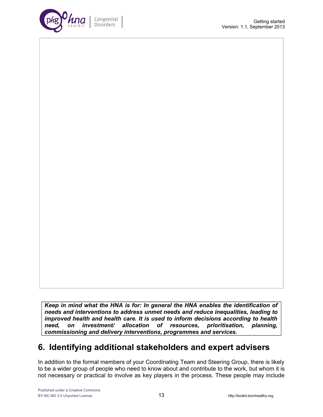

*Keep in mind what the HNA is for: In general the HNA enables the identification of needs and interventions to address unmet needs and reduce inequalities, leading to improved health and health care. It is used to inform decisions according to health need, on investment/ allocation of resources, prioritisation, planning, commissioning and delivery interventions, programmes and services.*

## **6. Identifying additional stakeholders and expert advisers**

In addition to the formal members of your Coordinating Team and Steering Group, there is likely to be a wider group of people who need to know about and contribute to the work, but whom it is not necessary or practical to involve as key players in the process. These people may include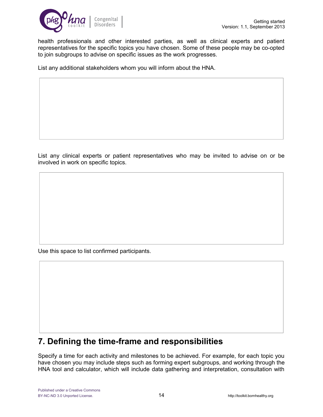

health professionals and other interested parties, as well as clinical experts and patient representatives for the specific topics you have chosen. Some of these people may be co-opted to join subgroups to advise on specific issues as the work progresses.

List any additional stakeholders whom you will inform about the HNA.

List any clinical experts or patient representatives who may be invited to advise on or be involved in work on specific topics.

Use this space to list confirmed participants.

## **7. Defining the time-frame and responsibilities**

Specify a time for each activity and milestones to be achieved. For example, for each topic you have chosen you may include steps such as forming expert subgroups, and working through the HNA tool and calculator, which will include data gathering and interpretation, consultation with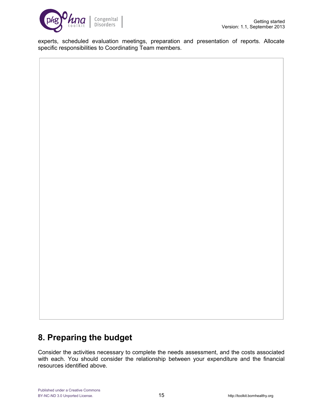

experts, scheduled evaluation meetings, preparation and presentation of reports. Allocate specific responsibilities to Coordinating Team members.

## **8. Preparing the budget**

Consider the activities necessary to complete the needs assessment, and the costs associated with each. You should consider the relationship between your expenditure and the financial resources identified above.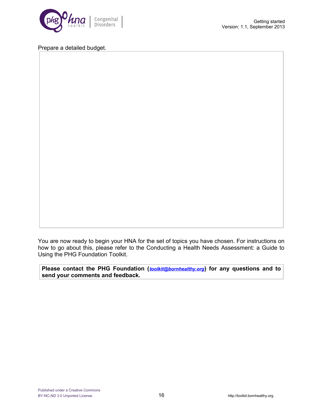

#### Prepare a detailed budget.

You are now ready to begin your HNA for the set of topics you have chosen. For instructions on how to go about this, please refer to the Conducting a Health Needs Assessment: a Guide to Using the PHG Foundation Toolkit.

**Please contact the PHG Foundation (***[toolkit@bornhealthy.org](mailto:toolkit@bornhealthy.org)***) for any questions and to send your comments and feedback.**